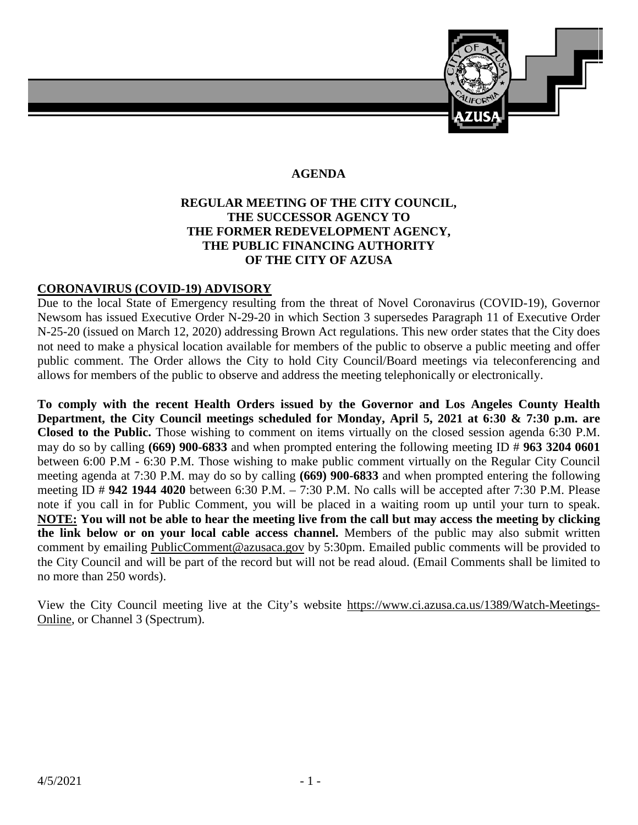

## **AGENDA**

## **REGULAR MEETING OF THE CITY COUNCIL, THE SUCCESSOR AGENCY TO THE FORMER REDEVELOPMENT AGENCY, THE PUBLIC FINANCING AUTHORITY OF THE CITY OF AZUSA**

#### **CORONAVIRUS (COVID-19) ADVISORY**

Due to the local State of Emergency resulting from the threat of Novel Coronavirus (COVID-19), Governor Newsom has issued Executive Order N-29-20 in which Section 3 supersedes Paragraph 11 of Executive Order N-25-20 (issued on March 12, 2020) addressing Brown Act regulations. This new order states that the City does not need to make a physical location available for members of the public to observe a public meeting and offer public comment. The Order allows the City to hold City Council/Board meetings via teleconferencing and allows for members of the public to observe and address the meeting telephonically or electronically.

**To comply with the recent Health Orders issued by the Governor and Los Angeles County Health Department, the City Council meetings scheduled for Monday, April 5, 2021 at 6:30 & 7:30 p.m. are Closed to the Public.** Those wishing to comment on items virtually on the closed session agenda 6:30 P.M. may do so by calling **(669) 900-6833** and when prompted entering the following meeting ID # **963 3204 0601** between 6:00 P.M - 6:30 P.M. Those wishing to make public comment virtually on the Regular City Council meeting agenda at 7:30 P.M. may do so by calling **(669) 900-6833** and when prompted entering the following meeting ID # **942 1944 4020** between 6:30 P.M. – 7:30 P.M. No calls will be accepted after 7:30 P.M. Please note if you call in for Public Comment, you will be placed in a waiting room up until your turn to speak. **NOTE: You will not be able to hear the meeting live from the call but may access the meeting by clicking the link below or on your local cable access channel.** Members of the public may also submit written comment by emailing [PublicComment@azusaca.gov](mailto:PublicComment@azusaca.govEmailed) by 5:30pm. Emailed public comments will be provided to the City Council and will be part of the record but will not be read aloud. (Email Comments shall be limited to no more than 250 words).

View the City Council meeting live at the City's website [https://www.ci.azusa.ca.us/1389/Watch-Meetings-](https://www.ci.azusa.ca.us/1389/Watch-Meetings-Online)[Online,](https://www.ci.azusa.ca.us/1389/Watch-Meetings-Online) or Channel 3 (Spectrum).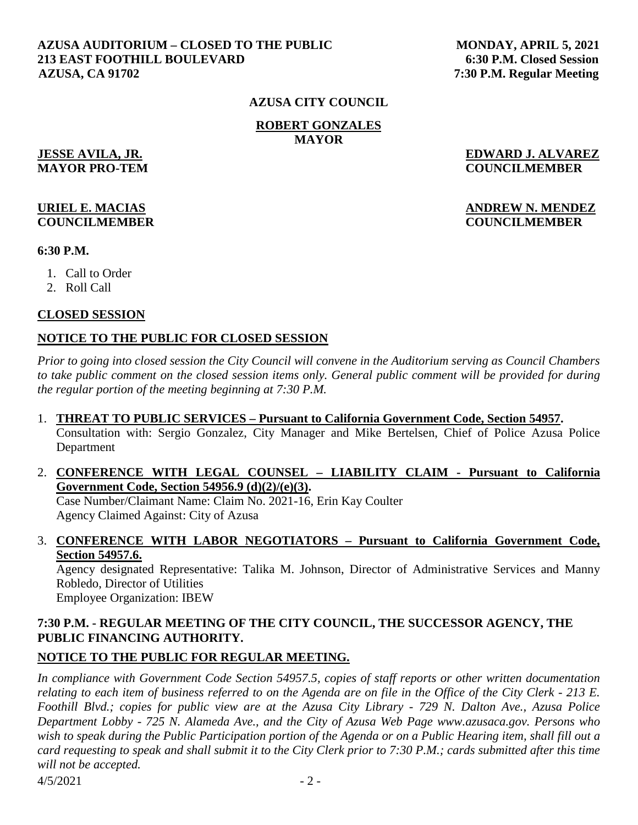#### **AZUSA AUDITORIUM – CLOSED TO THE PUBLIC MONDAY, APRIL 5, 2021 213 EAST FOOTHILL BOULEVARD 6:30 P.M. Closed Session AZUSA, CA 91702 7:30 P.M. Regular Meeting**

#### **AZUSA CITY COUNCIL**

**ROBERT GONZALES MAYOR**

**JESSE AVILA, JR. EDWARD J. ALVAREZ MAYOR PRO-TEM COUNCILMEMBER**

## **URIEL E. MACIAS ANDREW N. MENDEZ COUNCILMEMBER COUNCILMEMBER**

**6:30 P.M.** 

- 1. Call to Order
- 2. Roll Call

#### **CLOSED SESSION**

## **NOTICE TO THE PUBLIC FOR CLOSED SESSION**

*Prior to going into closed session the City Council will convene in the Auditorium serving as Council Chambers to take public comment on the closed session items only. General public comment will be provided for during the regular portion of the meeting beginning at 7:30 P.M.* 

#### 1. **THREAT TO PUBLIC SERVICES – Pursuant to California Government Code, Section 54957.**

Consultation with: Sergio Gonzalez, City Manager and Mike Bertelsen, Chief of Police Azusa Police Department

#### 2. **CONFERENCE WITH LEGAL COUNSEL – LIABILITY CLAIM - Pursuant to California Government Code, Section 54956.9 (d)(2)/(e)(3).**

Case Number/Claimant Name: Claim No. 2021-16, Erin Kay Coulter Agency Claimed Against: City of Azusa

## 3. **CONFERENCE WITH LABOR NEGOTIATORS – Pursuant to California Government Code, Section 54957.6.**

Agency designated Representative: Talika M. Johnson, Director of Administrative Services and Manny Robledo, Director of Utilities Employee Organization: IBEW

## **7:30 P.M. - REGULAR MEETING OF THE CITY COUNCIL, THE SUCCESSOR AGENCY, THE PUBLIC FINANCING AUTHORITY.**

## **NOTICE TO THE PUBLIC FOR REGULAR MEETING.**

*In compliance with Government Code Section 54957.5, copies of staff reports or other written documentation relating to each item of business referred to on the Agenda are on file in the Office of the City Clerk - 213 E. Foothill Blvd.; copies for public view are at the Azusa City Library - 729 N. Dalton Ave., Azusa Police Department Lobby - 725 N. Alameda Ave., and the City of Azusa Web Page www.azusaca.gov. Persons who wish to speak during the Public Participation portion of the Agenda or on a Public Hearing item, shall fill out a card requesting to speak and shall submit it to the City Clerk prior to 7:30 P.M.; cards submitted after this time will not be accepted.* 

 $4/5/2021$  - 2 -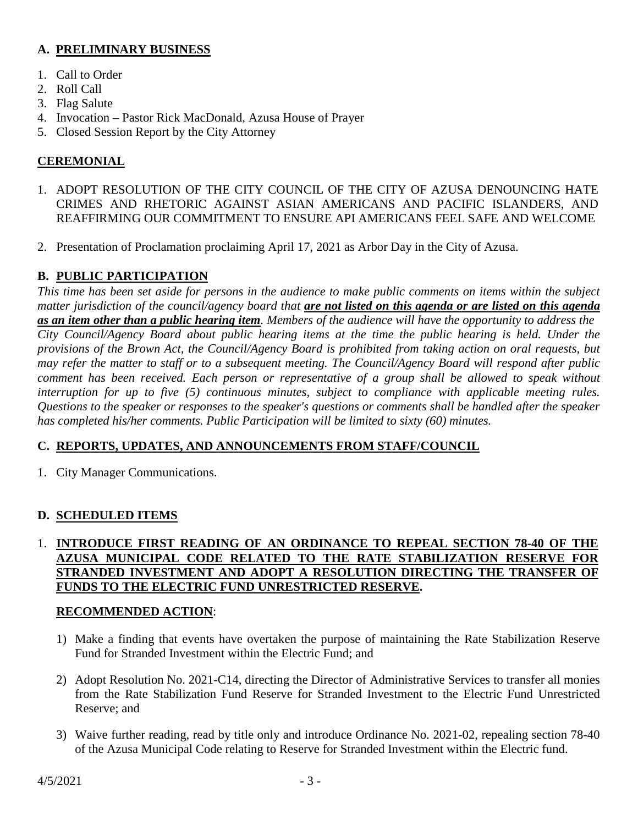## **A. PRELIMINARY BUSINESS**

- 1. Call to Order
- 2. Roll Call
- 3. Flag Salute
- 4. Invocation Pastor Rick MacDonald, Azusa House of Prayer
- 5. Closed Session Report by the City Attorney

# **CEREMONIAL**

- 1. ADOPT RESOLUTION OF THE CITY COUNCIL OF THE CITY OF AZUSA DENOUNCING HATE CRIMES AND RHETORIC AGAINST ASIAN AMERICANS AND PACIFIC ISLANDERS, AND REAFFIRMING OUR COMMITMENT TO ENSURE API AMERICANS FEEL SAFE AND WELCOME
- 2. Presentation of Proclamation proclaiming April 17, 2021 as Arbor Day in the City of Azusa.

# **B. PUBLIC PARTICIPATION**

*This time has been set aside for persons in the audience to make public comments on items within the subject matter jurisdiction of the council/agency board that are not listed on this agenda or are listed on this agenda as an item other than a public hearing item. Members of the audience will have the opportunity to address the City Council/Agency Board about public hearing items at the time the public hearing is held. Under the provisions of the Brown Act, the Council/Agency Board is prohibited from taking action on oral requests, but may refer the matter to staff or to a subsequent meeting. The Council/Agency Board will respond after public comment has been received. Each person or representative of a group shall be allowed to speak without interruption for up to five (5) continuous minutes, subject to compliance with applicable meeting rules. Questions to the speaker or responses to the speaker's questions or comments shall be handled after the speaker has completed his/her comments. Public Participation will be limited to sixty (60) minutes.*

## **C. REPORTS, UPDATES, AND ANNOUNCEMENTS FROM STAFF/COUNCIL**

1. City Manager Communications.

## **D. SCHEDULED ITEMS**

## 1. **INTRODUCE FIRST READING OF AN ORDINANCE TO REPEAL SECTION 78-40 OF THE AZUSA MUNICIPAL CODE RELATED TO THE RATE STABILIZATION RESERVE FOR STRANDED INVESTMENT AND ADOPT A RESOLUTION DIRECTING THE TRANSFER OF FUNDS TO THE ELECTRIC FUND UNRESTRICTED RESERVE.**

## **RECOMMENDED ACTION**:

- 1) Make a finding that events have overtaken the purpose of maintaining the Rate Stabilization Reserve Fund for Stranded Investment within the Electric Fund; and
- 2) Adopt Resolution No. 2021-C14, directing the Director of Administrative Services to transfer all monies from the Rate Stabilization Fund Reserve for Stranded Investment to the Electric Fund Unrestricted Reserve; and
- 3) Waive further reading, read by title only and introduce Ordinance No. 2021-02, repealing section 78-40 of the Azusa Municipal Code relating to Reserve for Stranded Investment within the Electric fund.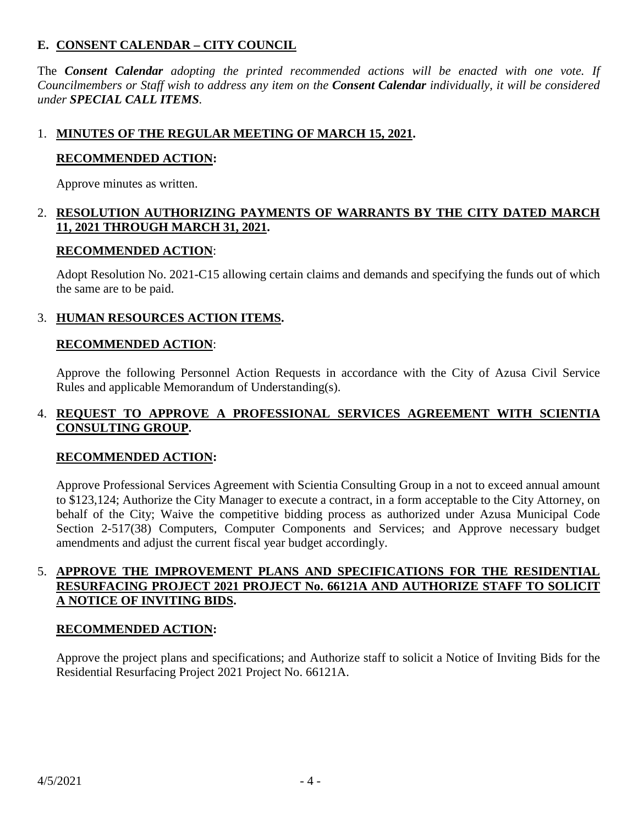## **E. CONSENT CALENDAR – CITY COUNCIL**

The *Consent Calendar adopting the printed recommended actions will be enacted with one vote. If Councilmembers or Staff wish to address any item on the Consent Calendar individually, it will be considered under SPECIAL CALL ITEMS.*

## 1. **MINUTES OF THE REGULAR MEETING OF MARCH 15, 2021.**

#### **RECOMMENDED ACTION:**

Approve minutes as written.

## 2. **RESOLUTION AUTHORIZING PAYMENTS OF WARRANTS BY THE CITY DATED MARCH 11, 2021 THROUGH MARCH 31, 2021.**

#### **RECOMMENDED ACTION**:

Adopt Resolution No. 2021-C15 allowing certain claims and demands and specifying the funds out of which the same are to be paid.

## 3. **HUMAN RESOURCES ACTION ITEMS.**

#### **RECOMMENDED ACTION**:

Approve the following Personnel Action Requests in accordance with the City of Azusa Civil Service Rules and applicable Memorandum of Understanding(s).

## 4. **REQUEST TO APPROVE A PROFESSIONAL SERVICES AGREEMENT WITH SCIENTIA CONSULTING GROUP.**

## **RECOMMENDED ACTION:**

Approve Professional Services Agreement with Scientia Consulting Group in a not to exceed annual amount to \$123,124; Authorize the City Manager to execute a contract, in a form acceptable to the City Attorney, on behalf of the City; Waive the competitive bidding process as authorized under Azusa Municipal Code Section 2-517(38) Computers, Computer Components and Services; and Approve necessary budget amendments and adjust the current fiscal year budget accordingly.

## 5. **APPROVE THE IMPROVEMENT PLANS AND SPECIFICATIONS FOR THE RESIDENTIAL RESURFACING PROJECT 2021 PROJECT No. 66121A AND AUTHORIZE STAFF TO SOLICIT A NOTICE OF INVITING BIDS.**

#### **RECOMMENDED ACTION:**

Approve the project plans and specifications; and Authorize staff to solicit a Notice of Inviting Bids for the Residential Resurfacing Project 2021 Project No. 66121A.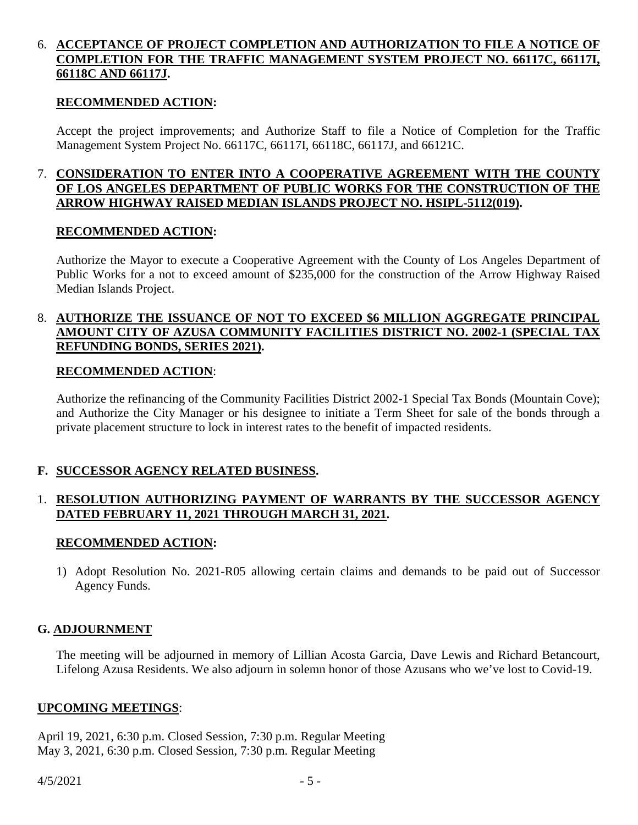## 6. **ACCEPTANCE OF PROJECT COMPLETION AND AUTHORIZATION TO FILE A NOTICE OF COMPLETION FOR THE TRAFFIC MANAGEMENT SYSTEM PROJECT NO. 66117C, 66117I, 66118C AND 66117J.**

#### **RECOMMENDED ACTION:**

Accept the project improvements; and Authorize Staff to file a Notice of Completion for the Traffic Management System Project No. 66117C, 66117I, 66118C, 66117J, and 66121C.

#### 7. **CONSIDERATION TO ENTER INTO A COOPERATIVE AGREEMENT WITH THE COUNTY OF LOS ANGELES DEPARTMENT OF PUBLIC WORKS FOR THE CONSTRUCTION OF THE ARROW HIGHWAY RAISED MEDIAN ISLANDS PROJECT NO. HSIPL-5112(019).**

#### **RECOMMENDED ACTION:**

Authorize the Mayor to execute a Cooperative Agreement with the County of Los Angeles Department of Public Works for a not to exceed amount of \$235,000 for the construction of the Arrow Highway Raised Median Islands Project.

## 8. **AUTHORIZE THE ISSUANCE OF NOT TO EXCEED \$6 MILLION AGGREGATE PRINCIPAL AMOUNT CITY OF AZUSA COMMUNITY FACILITIES DISTRICT NO. 2002-1 (SPECIAL TAX REFUNDING BONDS, SERIES 2021).**

#### **RECOMMENDED ACTION**:

Authorize the refinancing of the Community Facilities District 2002-1 Special Tax Bonds (Mountain Cove); and Authorize the City Manager or his designee to initiate a Term Sheet for sale of the bonds through a private placement structure to lock in interest rates to the benefit of impacted residents.

## **F. SUCCESSOR AGENCY RELATED BUSINESS.**

## 1. **RESOLUTION AUTHORIZING PAYMENT OF WARRANTS BY THE SUCCESSOR AGENCY DATED FEBRUARY 11, 2021 THROUGH MARCH 31, 2021.**

## **RECOMMENDED ACTION:**

1) Adopt Resolution No. 2021-R05 allowing certain claims and demands to be paid out of Successor Agency Funds.

## **G. ADJOURNMENT**

The meeting will be adjourned in memory of Lillian Acosta Garcia, Dave Lewis and Richard Betancourt, Lifelong Azusa Residents. We also adjourn in solemn honor of those Azusans who we've lost to Covid-19.

#### **UPCOMING MEETINGS**:

April 19, 2021, 6:30 p.m. Closed Session, 7:30 p.m. Regular Meeting May 3, 2021, 6:30 p.m. Closed Session, 7:30 p.m. Regular Meeting

 $4/5/2021$  - 5 -